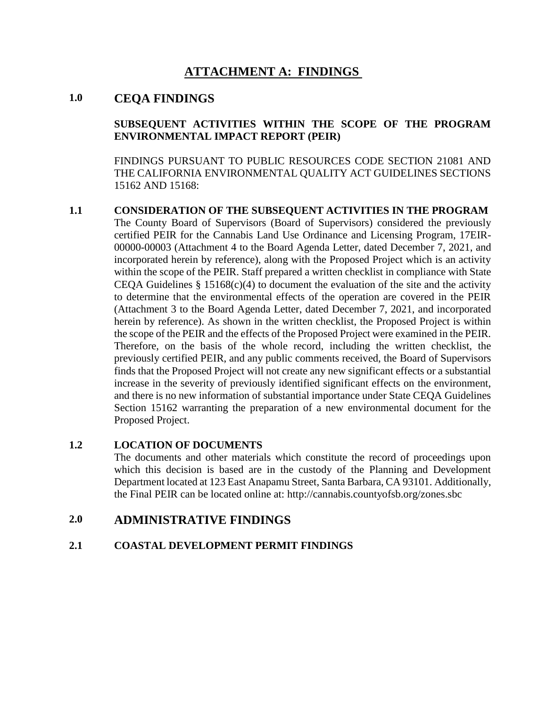# **ATTACHMENT A: FINDINGS**

## **1.0 CEQA FINDINGS**

## **SUBSEQUENT ACTIVITIES WITHIN THE SCOPE OF THE PROGRAM ENVIRONMENTAL IMPACT REPORT (PEIR)**

FINDINGS PURSUANT TO PUBLIC RESOURCES CODE SECTION 21081 AND THE CALIFORNIA ENVIRONMENTAL QUALITY ACT GUIDELINES SECTIONS 15162 AND 15168:

## **1.1 CONSIDERATION OF THE SUBSEQUENT ACTIVITIES IN THE PROGRAM**

The County Board of Supervisors (Board of Supervisors) considered the previously certified PEIR for the Cannabis Land Use Ordinance and Licensing Program, 17EIR-00000-00003 (Attachment 4 to the Board Agenda Letter, dated December 7, 2021, and incorporated herein by reference), along with the Proposed Project which is an activity within the scope of the PEIR. Staff prepared a written checklist in compliance with State CEQA Guidelines  $\S$  15168(c)(4) to document the evaluation of the site and the activity to determine that the environmental effects of the operation are covered in the PEIR (Attachment 3 to the Board Agenda Letter, dated December 7, 2021, and incorporated herein by reference). As shown in the written checklist, the Proposed Project is within the scope of the PEIR and the effects of the Proposed Project were examined in the PEIR. Therefore, on the basis of the whole record, including the written checklist, the previously certified PEIR, and any public comments received, the Board of Supervisors finds that the Proposed Project will not create any new significant effects or a substantial increase in the severity of previously identified significant effects on the environment, and there is no new information of substantial importance under State CEQA Guidelines Section 15162 warranting the preparation of a new environmental document for the Proposed Project.

## **1.2 LOCATION OF DOCUMENTS**

The documents and other materials which constitute the record of proceedings upon which this decision is based are in the custody of the Planning and Development Department located at 123 East Anapamu Street, Santa Barbara, CA 93101. Additionally, the Final PEIR can be located online at: http://cannabis.countyofsb.org/zones.sbc

# **2.0 ADMINISTRATIVE FINDINGS**

## **2.1 COASTAL DEVELOPMENT PERMIT FINDINGS**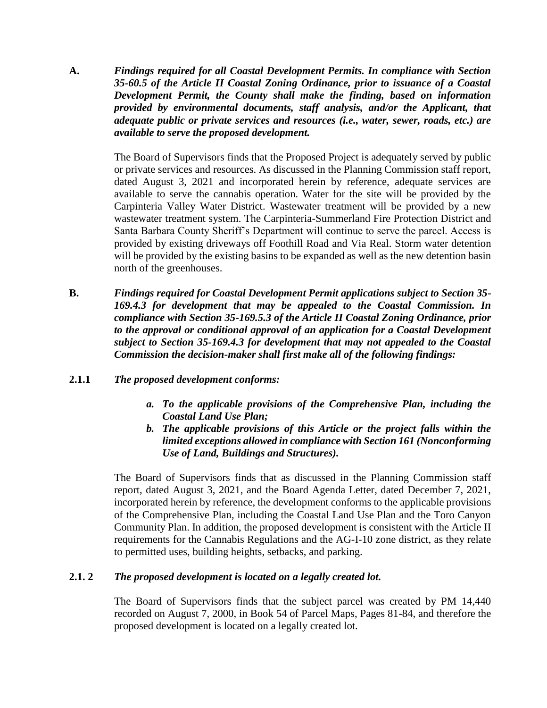**A.** *Findings required for all Coastal Development Permits. In compliance with Section 35-60.5 of the Article II Coastal Zoning Ordinance, prior to issuance of a Coastal Development Permit, the County shall make the finding, based on information provided by environmental documents, staff analysis, and/or the Applicant, that adequate public or private services and resources (i.e., water, sewer, roads, etc.) are available to serve the proposed development.*

> The Board of Supervisors finds that the Proposed Project is adequately served by public or private services and resources. As discussed in the Planning Commission staff report, dated August 3, 2021 and incorporated herein by reference, adequate services are available to serve the cannabis operation. Water for the site will be provided by the Carpinteria Valley Water District. Wastewater treatment will be provided by a new wastewater treatment system. The Carpinteria-Summerland Fire Protection District and Santa Barbara County Sheriff's Department will continue to serve the parcel. Access is provided by existing driveways off Foothill Road and Via Real. Storm water detention will be provided by the existing basins to be expanded as well as the new detention basin north of the greenhouses.

- **B.** *Findings required for Coastal Development Permit applications subject to Section 35- 169.4.3 for development that may be appealed to the Coastal Commission. In compliance with Section 35-169.5.3 of the Article II Coastal Zoning Ordinance, prior to the approval or conditional approval of an application for a Coastal Development subject to Section 35-169.4.3 for development that may not appealed to the Coastal Commission the decision-maker shall first make all of the following findings:*
- **2.1.1** *The proposed development conforms:*
	- *a. To the applicable provisions of the Comprehensive Plan, including the Coastal Land Use Plan;*
	- *b. The applicable provisions of this Article or the project falls within the limited exceptions allowed in compliance with Section 161 (Nonconforming Use of Land, Buildings and Structures).*

The Board of Supervisors finds that as discussed in the Planning Commission staff report, dated August 3, 2021, and the Board Agenda Letter, dated December 7, 2021, incorporated herein by reference, the development conforms to the applicable provisions of the Comprehensive Plan, including the Coastal Land Use Plan and the Toro Canyon Community Plan. In addition, the proposed development is consistent with the Article II requirements for the Cannabis Regulations and the AG-I-10 zone district, as they relate to permitted uses, building heights, setbacks, and parking.

#### **2.1. 2** *The proposed development is located on a legally created lot.*

The Board of Supervisors finds that the subject parcel was created by PM 14,440 recorded on August 7, 2000, in Book 54 of Parcel Maps, Pages 81-84, and therefore the proposed development is located on a legally created lot.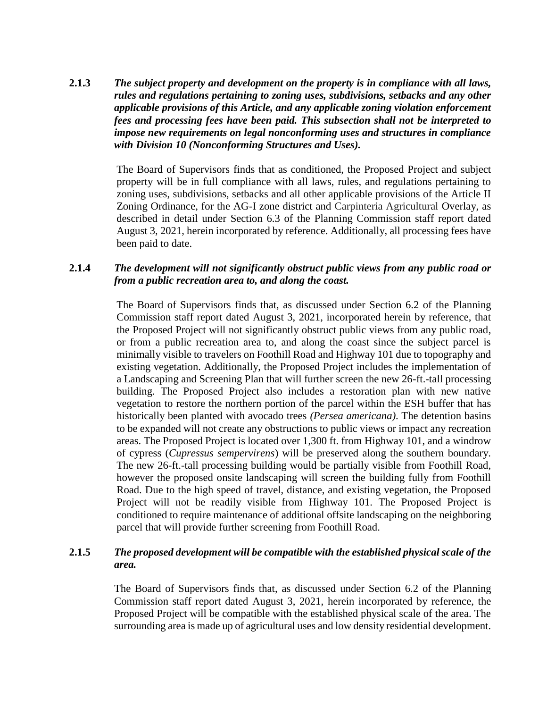**2.1.3** *The subject property and development on the property is in compliance with all laws, rules and regulations pertaining to zoning uses, subdivisions, setbacks and any other applicable provisions of this Article, and any applicable zoning violation enforcement fees and processing fees have been paid. This subsection shall not be interpreted to impose new requirements on legal nonconforming uses and structures in compliance with Division 10 (Nonconforming Structures and Uses).*

> The Board of Supervisors finds that as conditioned, the Proposed Project and subject property will be in full compliance with all laws, rules, and regulations pertaining to zoning uses, subdivisions, setbacks and all other applicable provisions of the Article II Zoning Ordinance, for the AG-I zone district and Carpinteria Agricultural Overlay, as described in detail under Section 6.3 of the Planning Commission staff report dated August 3, 2021, herein incorporated by reference. Additionally, all processing fees have been paid to date.

#### **2.1.4** *The development will not significantly obstruct public views from any public road or from a public recreation area to, and along the coast.*

The Board of Supervisors finds that, as discussed under Section 6.2 of the Planning Commission staff report dated August 3, 2021, incorporated herein by reference, that the Proposed Project will not significantly obstruct public views from any public road, or from a public recreation area to, and along the coast since the subject parcel is minimally visible to travelers on Foothill Road and Highway 101 due to topography and existing vegetation. Additionally, the Proposed Project includes the implementation of a Landscaping and Screening Plan that will further screen the new 26-ft.-tall processing building. The Proposed Project also includes a restoration plan with new native vegetation to restore the northern portion of the parcel within the ESH buffer that has historically been planted with avocado trees *(Persea americana)*. The detention basins to be expanded will not create any obstructions to public views or impact any recreation areas. The Proposed Project is located over 1,300 ft. from Highway 101, and a windrow of cypress (*Cupressus sempervirens*) will be preserved along the southern boundary. The new 26-ft.-tall processing building would be partially visible from Foothill Road, however the proposed onsite landscaping will screen the building fully from Foothill Road. Due to the high speed of travel, distance, and existing vegetation, the Proposed Project will not be readily visible from Highway 101. The Proposed Project is conditioned to require maintenance of additional offsite landscaping on the neighboring parcel that will provide further screening from Foothill Road.

#### **2.1.5** *The proposed development will be compatible with the established physical scale of the area.*

The Board of Supervisors finds that, as discussed under Section 6.2 of the Planning Commission staff report dated August 3, 2021, herein incorporated by reference, the Proposed Project will be compatible with the established physical scale of the area. The surrounding area is made up of agricultural uses and low density residential development.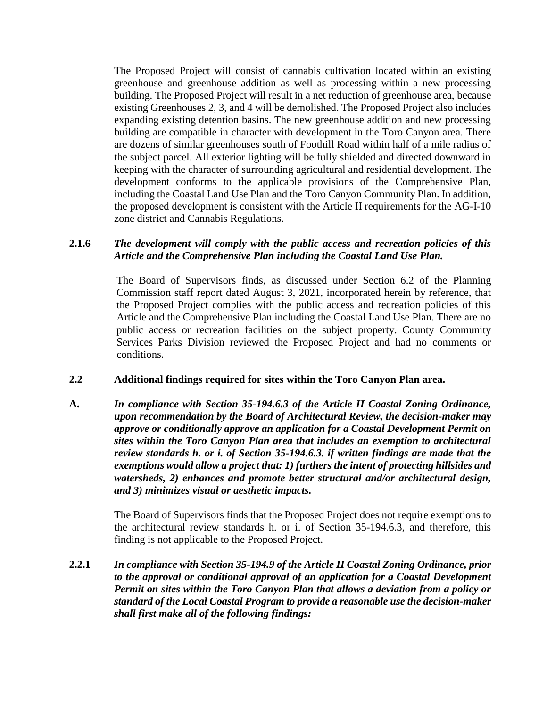The Proposed Project will consist of cannabis cultivation located within an existing greenhouse and greenhouse addition as well as processing within a new processing building. The Proposed Project will result in a net reduction of greenhouse area, because existing Greenhouses 2, 3, and 4 will be demolished. The Proposed Project also includes expanding existing detention basins. The new greenhouse addition and new processing building are compatible in character with development in the Toro Canyon area. There are dozens of similar greenhouses south of Foothill Road within half of a mile radius of the subject parcel. All exterior lighting will be fully shielded and directed downward in keeping with the character of surrounding agricultural and residential development. The development conforms to the applicable provisions of the Comprehensive Plan, including the Coastal Land Use Plan and the Toro Canyon Community Plan. In addition, the proposed development is consistent with the Article II requirements for the AG-I-10 zone district and Cannabis Regulations.

#### **2.1.6** *The development will comply with the public access and recreation policies of this Article and the Comprehensive Plan including the Coastal Land Use Plan.*

The Board of Supervisors finds, as discussed under Section 6.2 of the Planning Commission staff report dated August 3, 2021, incorporated herein by reference, that the Proposed Project complies with the public access and recreation policies of this Article and the Comprehensive Plan including the Coastal Land Use Plan. There are no public access or recreation facilities on the subject property. County Community Services Parks Division reviewed the Proposed Project and had no comments or conditions.

#### **2.2 Additional findings required for sites within the Toro Canyon Plan area.**

**A.** *In compliance with Section 35-194.6.3 of the Article II Coastal Zoning Ordinance, upon recommendation by the Board of Architectural Review, the decision-maker may approve or conditionally approve an application for a Coastal Development Permit on sites within the Toro Canyon Plan area that includes an exemption to architectural review standards h. or i. of Section 35-194.6.3. if written findings are made that the exemptions would allow a project that: 1) furthers the intent of protecting hillsides and watersheds, 2) enhances and promote better structural and/or architectural design, and 3) minimizes visual or aesthetic impacts.*

> The Board of Supervisors finds that the Proposed Project does not require exemptions to the architectural review standards h. or i. of Section 35-194.6.3, and therefore, this finding is not applicable to the Proposed Project.

**2.2.1** *In compliance with Section 35-194.9 of the Article II Coastal Zoning Ordinance, prior to the approval or conditional approval of an application for a Coastal Development Permit on sites within the Toro Canyon Plan that allows a deviation from a policy or standard of the Local Coastal Program to provide a reasonable use the decision-maker shall first make all of the following findings:*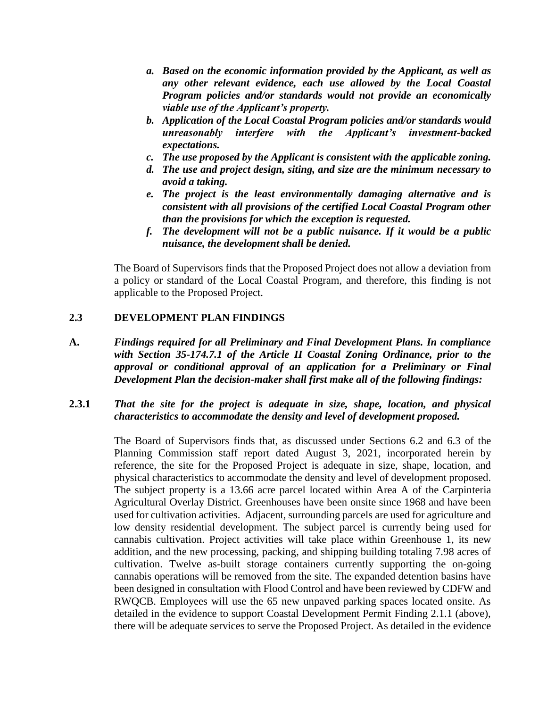- *a. Based on the economic information provided by the Applicant, as well as any other relevant evidence, each use allowed by the Local Coastal Program policies and/or standards would not provide an economically viable use of the Applicant's property.*
- *b. Application of the Local Coastal Program policies and/or standards would unreasonably interfere with the Applicant's investment-backed expectations.*
- *c. The use proposed by the Applicant is consistent with the applicable zoning.*
- *d. The use and project design, siting, and size are the minimum necessary to avoid a taking.*
- *e. The project is the least environmentally damaging alternative and is consistent with all provisions of the certified Local Coastal Program other than the provisions for which the exception is requested.*
- *f. The development will not be a public nuisance. If it would be a public nuisance, the development shall be denied.*

The Board of Supervisors finds that the Proposed Project does not allow a deviation from a policy or standard of the Local Coastal Program, and therefore, this finding is not applicable to the Proposed Project.

#### **2.3 DEVELOPMENT PLAN FINDINGS**

**A.** *Findings required for all Preliminary and Final Development Plans. In compliance with Section 35-174.7.1 of the Article II Coastal Zoning Ordinance, prior to the approval or conditional approval of an application for a Preliminary or Final Development Plan the decision-maker shall first make all of the following findings:*

#### **2.3.1** *That the site for the project is adequate in size, shape, location, and physical characteristics to accommodate the density and level of development proposed.*

The Board of Supervisors finds that, as discussed under Sections 6.2 and 6.3 of the Planning Commission staff report dated August 3, 2021, incorporated herein by reference, the site for the Proposed Project is adequate in size, shape, location, and physical characteristics to accommodate the density and level of development proposed. The subject property is a 13.66 acre parcel located within Area A of the Carpinteria Agricultural Overlay District. Greenhouses have been onsite since 1968 and have been used for cultivation activities. Adjacent, surrounding parcels are used for agriculture and low density residential development. The subject parcel is currently being used for cannabis cultivation. Project activities will take place within Greenhouse 1, its new addition, and the new processing, packing, and shipping building totaling 7.98 acres of cultivation. Twelve as-built storage containers currently supporting the on-going cannabis operations will be removed from the site. The expanded detention basins have been designed in consultation with Flood Control and have been reviewed by CDFW and RWQCB. Employees will use the 65 new unpaved parking spaces located onsite. As detailed in the evidence to support Coastal Development Permit Finding 2.1.1 (above), there will be adequate services to serve the Proposed Project. As detailed in the evidence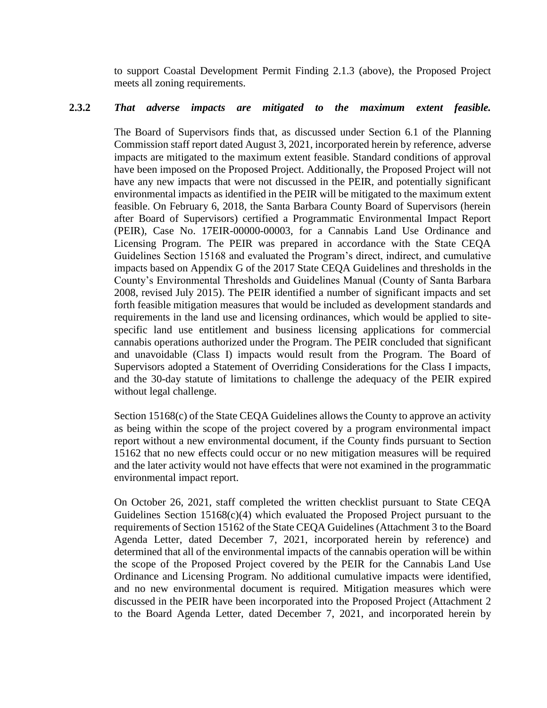to support Coastal Development Permit Finding 2.1.3 (above), the Proposed Project meets all zoning requirements.

#### **2.3.2** *That adverse impacts are mitigated to the maximum extent feasible.*

The Board of Supervisors finds that, as discussed under Section 6.1 of the Planning Commission staff report dated August 3, 2021, incorporated herein by reference, adverse impacts are mitigated to the maximum extent feasible. Standard conditions of approval have been imposed on the Proposed Project. Additionally, the Proposed Project will not have any new impacts that were not discussed in the PEIR, and potentially significant environmental impacts as identified in the PEIR will be mitigated to the maximum extent feasible. On February 6, 2018, the Santa Barbara County Board of Supervisors (herein after Board of Supervisors) certified a Programmatic Environmental Impact Report (PEIR), Case No. 17EIR-00000-00003, for a Cannabis Land Use Ordinance and Licensing Program. The PEIR was prepared in accordance with the State CEQA Guidelines Section 15168 and evaluated the Program's direct, indirect, and cumulative impacts based on Appendix G of the 2017 State CEQA Guidelines and thresholds in the County's Environmental Thresholds and Guidelines Manual (County of Santa Barbara 2008, revised July 2015). The PEIR identified a number of significant impacts and set forth feasible mitigation measures that would be included as development standards and requirements in the land use and licensing ordinances, which would be applied to sitespecific land use entitlement and business licensing applications for commercial cannabis operations authorized under the Program. The PEIR concluded that significant and unavoidable (Class I) impacts would result from the Program. The Board of Supervisors adopted a Statement of Overriding Considerations for the Class I impacts, and the 30-day statute of limitations to challenge the adequacy of the PEIR expired without legal challenge.

Section 15168(c) of the State CEQA Guidelines allows the County to approve an activity as being within the scope of the project covered by a program environmental impact report without a new environmental document, if the County finds pursuant to Section 15162 that no new effects could occur or no new mitigation measures will be required and the later activity would not have effects that were not examined in the programmatic environmental impact report.

On October 26, 2021, staff completed the written checklist pursuant to State CEQA Guidelines Section  $15168(c)(4)$  which evaluated the Proposed Project pursuant to the requirements of Section 15162 of the State CEQA Guidelines (Attachment 3 to the Board Agenda Letter, dated December 7, 2021, incorporated herein by reference) and determined that all of the environmental impacts of the cannabis operation will be within the scope of the Proposed Project covered by the PEIR for the Cannabis Land Use Ordinance and Licensing Program. No additional cumulative impacts were identified, and no new environmental document is required. Mitigation measures which were discussed in the PEIR have been incorporated into the Proposed Project (Attachment 2 to the Board Agenda Letter, dated December 7, 2021, and incorporated herein by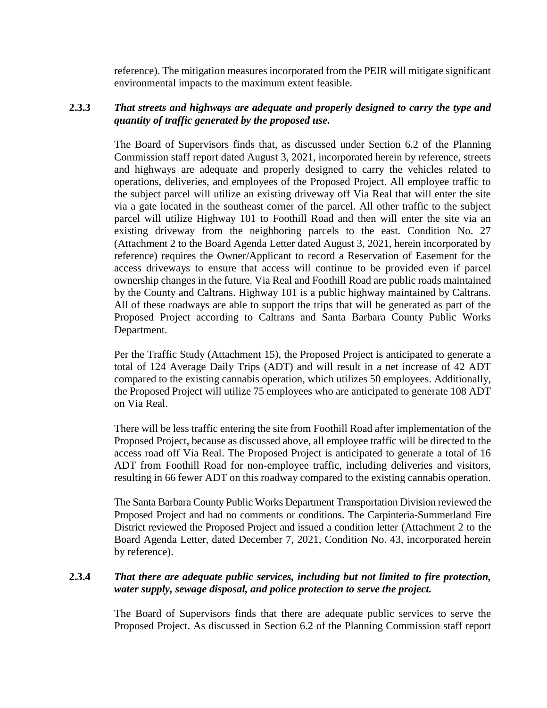reference). The mitigation measures incorporated from the PEIR will mitigate significant environmental impacts to the maximum extent feasible.

### **2.3.3** *That streets and highways are adequate and properly designed to carry the type and quantity of traffic generated by the proposed use.*

The Board of Supervisors finds that, as discussed under Section 6.2 of the Planning Commission staff report dated August 3, 2021, incorporated herein by reference, streets and highways are adequate and properly designed to carry the vehicles related to operations, deliveries, and employees of the Proposed Project. All employee traffic to the subject parcel will utilize an existing driveway off Via Real that will enter the site via a gate located in the southeast corner of the parcel. All other traffic to the subject parcel will utilize Highway 101 to Foothill Road and then will enter the site via an existing driveway from the neighboring parcels to the east. Condition No. 27 (Attachment 2 to the Board Agenda Letter dated August 3, 2021, herein incorporated by reference) requires the Owner/Applicant to record a Reservation of Easement for the access driveways to ensure that access will continue to be provided even if parcel ownership changes in the future. Via Real and Foothill Road are public roads maintained by the County and Caltrans. Highway 101 is a public highway maintained by Caltrans. All of these roadways are able to support the trips that will be generated as part of the Proposed Project according to Caltrans and Santa Barbara County Public Works Department.

Per the Traffic Study (Attachment 15), the Proposed Project is anticipated to generate a total of 124 Average Daily Trips (ADT) and will result in a net increase of 42 ADT compared to the existing cannabis operation, which utilizes 50 employees. Additionally, the Proposed Project will utilize 75 employees who are anticipated to generate 108 ADT on Via Real.

There will be less traffic entering the site from Foothill Road after implementation of the Proposed Project, because as discussed above, all employee traffic will be directed to the access road off Via Real. The Proposed Project is anticipated to generate a total of 16 ADT from Foothill Road for non-employee traffic, including deliveries and visitors, resulting in 66 fewer ADT on this roadway compared to the existing cannabis operation.

The Santa Barbara County Public Works Department Transportation Division reviewed the Proposed Project and had no comments or conditions. The Carpinteria-Summerland Fire District reviewed the Proposed Project and issued a condition letter (Attachment 2 to the Board Agenda Letter, dated December 7, 2021, Condition No. 43, incorporated herein by reference).

### **2.3.4** *That there are adequate public services, including but not limited to fire protection, water supply, sewage disposal, and police protection to serve the project.*

The Board of Supervisors finds that there are adequate public services to serve the Proposed Project. As discussed in Section 6.2 of the Planning Commission staff report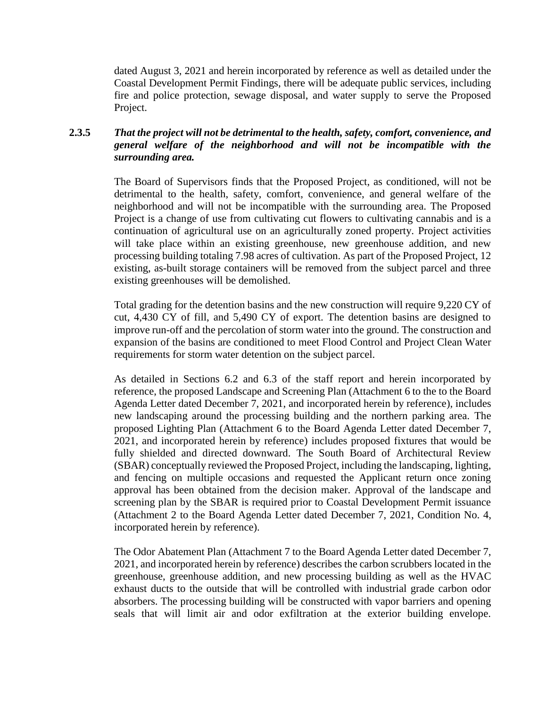dated August 3, 2021 and herein incorporated by reference as well as detailed under the Coastal Development Permit Findings, there will be adequate public services, including fire and police protection, sewage disposal, and water supply to serve the Proposed Project.

### **2.3.5** *That the project will not be detrimental to the health, safety, comfort, convenience, and general welfare of the neighborhood and will not be incompatible with the surrounding area.*

The Board of Supervisors finds that the Proposed Project, as conditioned, will not be detrimental to the health, safety, comfort, convenience, and general welfare of the neighborhood and will not be incompatible with the surrounding area. The Proposed Project is a change of use from cultivating cut flowers to cultivating cannabis and is a continuation of agricultural use on an agriculturally zoned property. Project activities will take place within an existing greenhouse, new greenhouse addition, and new processing building totaling 7.98 acres of cultivation. As part of the Proposed Project, 12 existing, as-built storage containers will be removed from the subject parcel and three existing greenhouses will be demolished.

Total grading for the detention basins and the new construction will require 9,220 CY of cut, 4,430 CY of fill, and 5,490 CY of export. The detention basins are designed to improve run-off and the percolation of storm water into the ground. The construction and expansion of the basins are conditioned to meet Flood Control and Project Clean Water requirements for storm water detention on the subject parcel.

As detailed in Sections 6.2 and 6.3 of the staff report and herein incorporated by reference, the proposed Landscape and Screening Plan (Attachment 6 to the to the Board Agenda Letter dated December 7, 2021, and incorporated herein by reference), includes new landscaping around the processing building and the northern parking area. The proposed Lighting Plan (Attachment 6 to the Board Agenda Letter dated December 7, 2021, and incorporated herein by reference) includes proposed fixtures that would be fully shielded and directed downward. The South Board of Architectural Review (SBAR) conceptually reviewed the Proposed Project, including the landscaping, lighting, and fencing on multiple occasions and requested the Applicant return once zoning approval has been obtained from the decision maker. Approval of the landscape and screening plan by the SBAR is required prior to Coastal Development Permit issuance (Attachment 2 to the Board Agenda Letter dated December 7, 2021, Condition No. 4, incorporated herein by reference).

The Odor Abatement Plan (Attachment 7 to the Board Agenda Letter dated December 7, 2021, and incorporated herein by reference) describes the carbon scrubbers located in the greenhouse, greenhouse addition, and new processing building as well as the HVAC exhaust ducts to the outside that will be controlled with industrial grade carbon odor absorbers. The processing building will be constructed with vapor barriers and opening seals that will limit air and odor exfiltration at the exterior building envelope.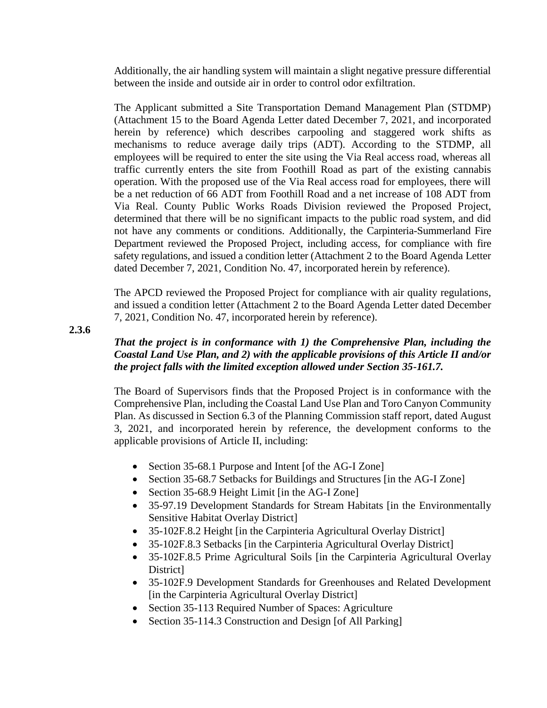Additionally, the air handling system will maintain a slight negative pressure differential between the inside and outside air in order to control odor exfiltration.

The Applicant submitted a Site Transportation Demand Management Plan (STDMP) (Attachment 15 to the Board Agenda Letter dated December 7, 2021, and incorporated herein by reference) which describes carpooling and staggered work shifts as mechanisms to reduce average daily trips (ADT). According to the STDMP, all employees will be required to enter the site using the Via Real access road, whereas all traffic currently enters the site from Foothill Road as part of the existing cannabis operation. With the proposed use of the Via Real access road for employees, there will be a net reduction of 66 ADT from Foothill Road and a net increase of 108 ADT from Via Real. County Public Works Roads Division reviewed the Proposed Project, determined that there will be no significant impacts to the public road system, and did not have any comments or conditions. Additionally, the Carpinteria-Summerland Fire Department reviewed the Proposed Project, including access, for compliance with fire safety regulations, and issued a condition letter (Attachment 2 to the Board Agenda Letter dated December 7, 2021, Condition No. 47, incorporated herein by reference).

The APCD reviewed the Proposed Project for compliance with air quality regulations, and issued a condition letter (Attachment 2 to the Board Agenda Letter dated December 7, 2021, Condition No. 47, incorporated herein by reference).

**2.3.6**

## *That the project is in conformance with 1) the Comprehensive Plan, including the Coastal Land Use Plan, and 2) with the applicable provisions of this Article II and/or the project falls with the limited exception allowed under Section 35-161.7.*

The Board of Supervisors finds that the Proposed Project is in conformance with the Comprehensive Plan, including the Coastal Land Use Plan and Toro Canyon Community Plan. As discussed in Section 6.3 of the Planning Commission staff report, dated August 3, 2021, and incorporated herein by reference, the development conforms to the applicable provisions of Article II, including:

- Section 35-68.1 Purpose and Intent [of the AG-I Zone]
- Section 35-68.7 Setbacks for Buildings and Structures [in the AG-I Zone]
- Section 35-68.9 Height Limit [in the AG-I Zone]
- 35-97.19 Development Standards for Stream Habitats [in the Environmentally Sensitive Habitat Overlay District]
- 35-102F.8.2 Height [in the Carpinteria Agricultural Overlay District]
- 35-102F.8.3 Setbacks [in the Carpinteria Agricultural Overlay District]
- 35-102F.8.5 Prime Agricultural Soils [in the Carpinteria Agricultural Overlay District]
- 35-102F.9 Development Standards for Greenhouses and Related Development [in the Carpinteria Agricultural Overlay District]
- Section 35-113 Required Number of Spaces: Agriculture
- Section 35-114.3 Construction and Design [of All Parking]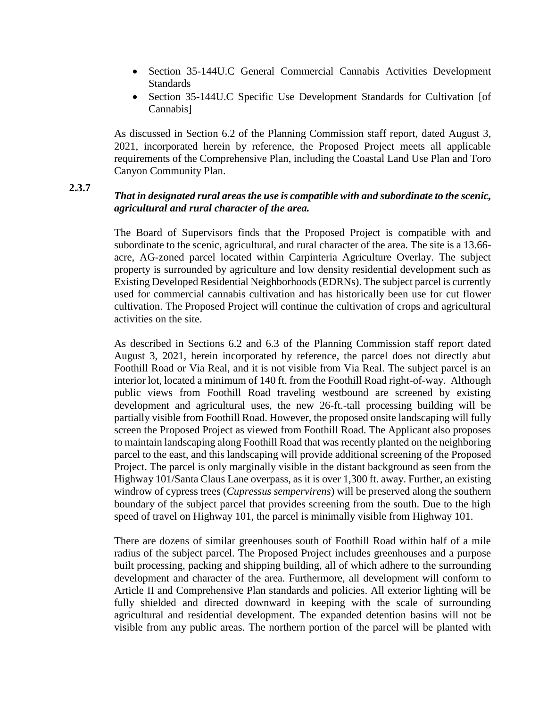- Section 35-144U.C General Commercial Cannabis Activities Development **Standards**
- Section 35-144U.C Specific Use Development Standards for Cultivation [of Cannabis]

As discussed in Section 6.2 of the Planning Commission staff report, dated August 3, 2021, incorporated herein by reference, the Proposed Project meets all applicable requirements of the Comprehensive Plan, including the Coastal Land Use Plan and Toro Canyon Community Plan.

**2.3.7**

## *That in designated rural areas the use is compatible with and subordinate to the scenic, agricultural and rural character of the area.*

The Board of Supervisors finds that the Proposed Project is compatible with and subordinate to the scenic, agricultural, and rural character of the area. The site is a 13.66 acre, AG-zoned parcel located within Carpinteria Agriculture Overlay. The subject property is surrounded by agriculture and low density residential development such as Existing Developed Residential Neighborhoods (EDRNs). The subject parcel is currently used for commercial cannabis cultivation and has historically been use for cut flower cultivation. The Proposed Project will continue the cultivation of crops and agricultural activities on the site.

As described in Sections 6.2 and 6.3 of the Planning Commission staff report dated August 3, 2021, herein incorporated by reference, the parcel does not directly abut Foothill Road or Via Real, and it is not visible from Via Real. The subject parcel is an interior lot, located a minimum of 140 ft. from the Foothill Road right-of-way. Although public views from Foothill Road traveling westbound are screened by existing development and agricultural uses, the new 26-ft.-tall processing building will be partially visible from Foothill Road. However, the proposed onsite landscaping will fully screen the Proposed Project as viewed from Foothill Road. The Applicant also proposes to maintain landscaping along Foothill Road that was recently planted on the neighboring parcel to the east, and this landscaping will provide additional screening of the Proposed Project. The parcel is only marginally visible in the distant background as seen from the Highway 101/Santa Claus Lane overpass, as it is over 1,300 ft. away. Further, an existing windrow of cypress trees (*Cupressus sempervirens*) will be preserved along the southern boundary of the subject parcel that provides screening from the south. Due to the high speed of travel on Highway 101, the parcel is minimally visible from Highway 101.

There are dozens of similar greenhouses south of Foothill Road within half of a mile radius of the subject parcel. The Proposed Project includes greenhouses and a purpose built processing, packing and shipping building, all of which adhere to the surrounding development and character of the area. Furthermore, all development will conform to Article II and Comprehensive Plan standards and policies. All exterior lighting will be fully shielded and directed downward in keeping with the scale of surrounding agricultural and residential development. The expanded detention basins will not be visible from any public areas. The northern portion of the parcel will be planted with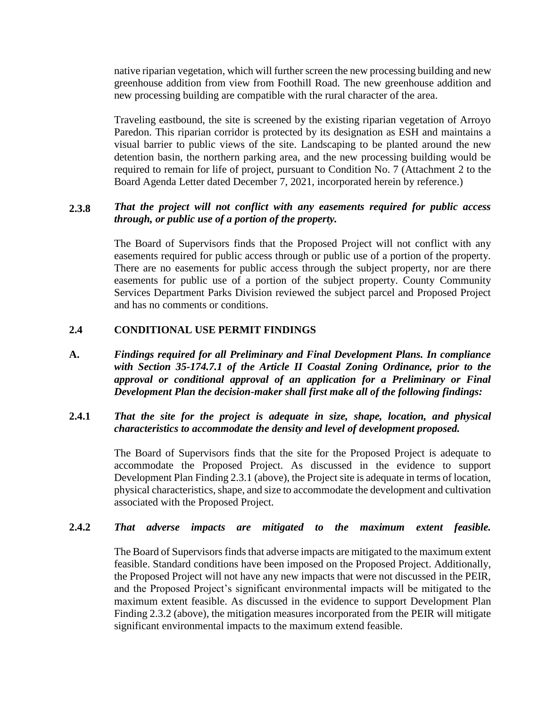native riparian vegetation, which will further screen the new processing building and new greenhouse addition from view from Foothill Road. The new greenhouse addition and new processing building are compatible with the rural character of the area.

Traveling eastbound, the site is screened by the existing riparian vegetation of Arroyo Paredon. This riparian corridor is protected by its designation as ESH and maintains a visual barrier to public views of the site. Landscaping to be planted around the new detention basin, the northern parking area, and the new processing building would be required to remain for life of project, pursuant to Condition No. 7 (Attachment 2 to the Board Agenda Letter dated December 7, 2021, incorporated herein by reference.)

### **2.3.8** *That the project will not conflict with any easements required for public access through, or public use of a portion of the property.*

The Board of Supervisors finds that the Proposed Project will not conflict with any easements required for public access through or public use of a portion of the property. There are no easements for public access through the subject property, nor are there easements for public use of a portion of the subject property. County Community Services Department Parks Division reviewed the subject parcel and Proposed Project and has no comments or conditions.

#### **2.4 CONDITIONAL USE PERMIT FINDINGS**

**A.** *Findings required for all Preliminary and Final Development Plans. In compliance with Section 35-174.7.1 of the Article II Coastal Zoning Ordinance, prior to the approval or conditional approval of an application for a Preliminary or Final Development Plan the decision-maker shall first make all of the following findings:*

### **2.4.1** *That the site for the project is adequate in size, shape, location, and physical characteristics to accommodate the density and level of development proposed.*

The Board of Supervisors finds that the site for the Proposed Project is adequate to accommodate the Proposed Project. As discussed in the evidence to support Development Plan Finding 2.3.1 (above), the Project site is adequate in terms of location, physical characteristics, shape, and size to accommodate the development and cultivation associated with the Proposed Project.

#### **2.4.2** *That adverse impacts are mitigated to the maximum extent feasible.*

The Board of Supervisors finds that adverse impacts are mitigated to the maximum extent feasible. Standard conditions have been imposed on the Proposed Project. Additionally, the Proposed Project will not have any new impacts that were not discussed in the PEIR, and the Proposed Project's significant environmental impacts will be mitigated to the maximum extent feasible. As discussed in the evidence to support Development Plan Finding 2.3.2 (above), the mitigation measures incorporated from the PEIR will mitigate significant environmental impacts to the maximum extend feasible.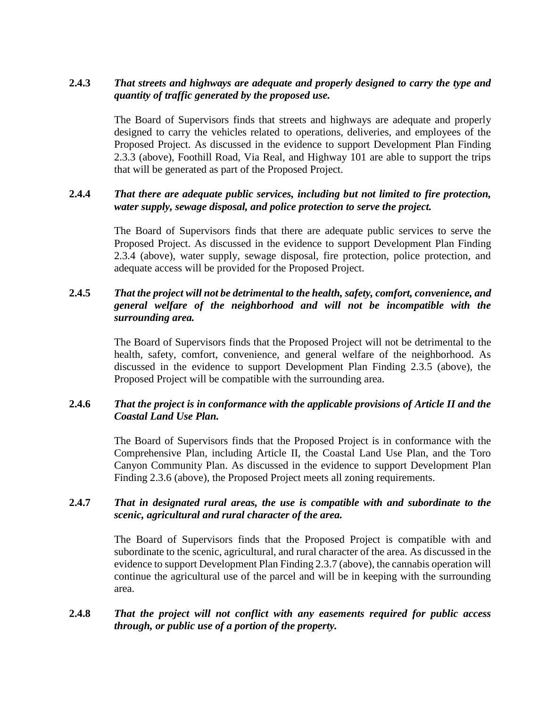### **2.4.3** *That streets and highways are adequate and properly designed to carry the type and quantity of traffic generated by the proposed use.*

The Board of Supervisors finds that streets and highways are adequate and properly designed to carry the vehicles related to operations, deliveries, and employees of the Proposed Project. As discussed in the evidence to support Development Plan Finding 2.3.3 (above), Foothill Road, Via Real, and Highway 101 are able to support the trips that will be generated as part of the Proposed Project.

#### **2.4.4** *That there are adequate public services, including but not limited to fire protection, water supply, sewage disposal, and police protection to serve the project.*

The Board of Supervisors finds that there are adequate public services to serve the Proposed Project. As discussed in the evidence to support Development Plan Finding 2.3.4 (above), water supply, sewage disposal, fire protection, police protection, and adequate access will be provided for the Proposed Project.

### **2.4.5** *That the project will not be detrimental to the health, safety, comfort, convenience, and general welfare of the neighborhood and will not be incompatible with the surrounding area.*

The Board of Supervisors finds that the Proposed Project will not be detrimental to the health, safety, comfort, convenience, and general welfare of the neighborhood. As discussed in the evidence to support Development Plan Finding 2.3.5 (above), the Proposed Project will be compatible with the surrounding area.

### **2.4.6** *That the project is in conformance with the applicable provisions of Article II and the Coastal Land Use Plan.*

The Board of Supervisors finds that the Proposed Project is in conformance with the Comprehensive Plan, including Article II, the Coastal Land Use Plan, and the Toro Canyon Community Plan. As discussed in the evidence to support Development Plan Finding 2.3.6 (above), the Proposed Project meets all zoning requirements.

### **2.4.7** *That in designated rural areas, the use is compatible with and subordinate to the scenic, agricultural and rural character of the area.*

The Board of Supervisors finds that the Proposed Project is compatible with and subordinate to the scenic, agricultural, and rural character of the area. As discussed in the evidence to support Development Plan Finding 2.3.7 (above), the cannabis operation will continue the agricultural use of the parcel and will be in keeping with the surrounding area.

### **2.4.8** *That the project will not conflict with any easements required for public access through, or public use of a portion of the property.*